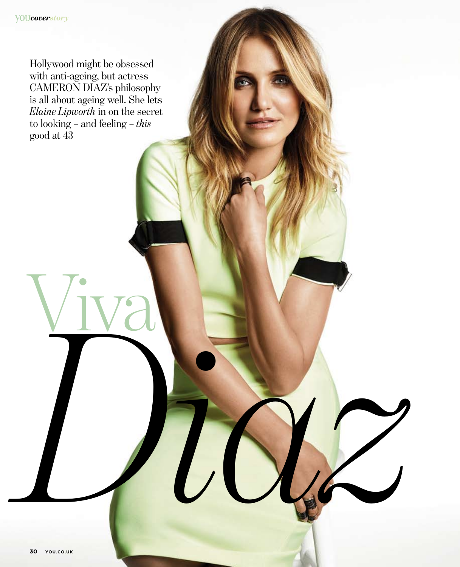Hollywood might be obsessed with anti-ageing, but actress CAMERON DIAZ's philosophy is all about ageing well. She lets *Elaine Lipworth* in on the secret to looking – and feeling – *this* good at 43

Viva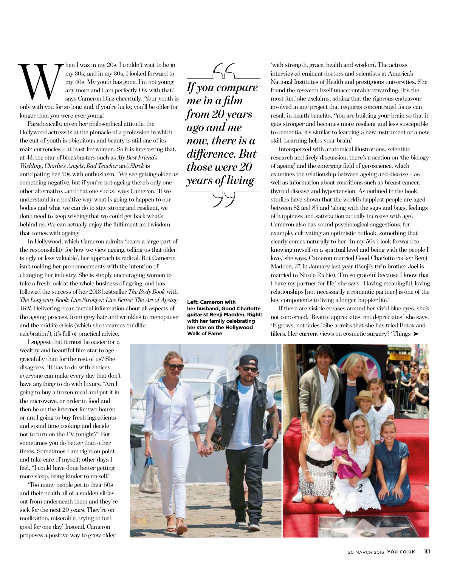hen I was in my 20s, I couldn't wait to be in my 30s; and in my 30s, I looked forward to my 40s. My youth has gone. I'm not young any more and I am perfectly ok with that,' says Cameron Diaz cheerfully. 'Your youth is only with you for so long and, if you're lucky, you'll be older for longer than you were ever young.' W Then I was in my 20s, I couldn't wait to be in<br>my 30s; and in my 30s, I looked forward to<br>my 40s. My youth has gone. I'm not young<br>any more and I am perfectly OK with that,<br>says Cameron Diaz cheerfully. Your youth is<br>on

Paradoxically, given her philosophical attitude, the Hollywood actress is at the pinnacle of a profession in which the cult of youth is ubiquitous and beauty is still one of its main currencies – at least for women. So it is interesting that, at 43, the star of blockbusters such as *My Best Friend's Wedding*, *Charlie's Angels*, *Bad Teacher* and *Shrek* is anticipating her 50s with enthusiasm. 'We see getting older as something negative, but if you're not ageing there's only one other alternative…and that one sucks,' says Cameron. 'If we understand in a positive way what is going to happen to our bodies and what we can do to stay strong and resilient, we don't need to keep wishing that we could get back what's behind us. We can actually enjoy the fulfilment and wisdom that comes with ageing.'

In Hollywood, which Cameron admits 'bears a large part of the responsibility for how we view ageing, telling us that older is ugly or less valuable', her approach is radical. But Cameron isn't making her pronouncements with the intention of changing her industry. She is simply encouraging women to take a fresh look at the whole business of ageing, and has followed the success of her 2013 bestseller *The Body Book* with *The Longevity Book: Live Stronger, Live Better, The Art of Ageing Well*. Delivering clear, factual information about all aspects of the ageing process, from grey hair and wrinkles to menopause and the midlife crisis (which she renames 'midlife

celebration'), it's full of practical advice.

I suggest that it must be easier for a wealthy and beautiful film star to age gracefully than for the rest of us? She disagrees. 'It has to do with choices everyone can make every day that don't have anything to do with luxury. "Am I going to buy a frozen meal and put it in the microwave, or order in food and then be on the internet for two hours; or am I going to buy fresh ingredients and spend time cooking and decide not to turn on the TV tonight?" But sometimes you do better than other times. Sometimes I am right on point and take care of myself; other days I feel, "I could have done better getting more sleep, being kinder to myself."

'Too many people get to their 50s and their health all of a sudden slides out from underneath them and they're sick for the next 20 years. They're on medication, miserable, trying to feel good for one day.' Instead, Cameron proposes a positive way to grow older

*me in a film from 20 years ago and me now, there is a difference. But those were 20 years of living*

**Left: Cameron with her husband, Good Charlotte guitarist Benji Madden. Right: with her family celebrating her star on the Hollywood** 

'with strength, grace, health and wisdom'. The actress interviewed eminent doctors and scientists at America's National Institutes of Health and prestigious universities. She found the research itself unaccountably rewarding. 'It's the most fun,' she exclaims, adding that the rigorous endeavour involved in any project that requires concentrated focus can result in health benefits. 'You are building your brain so that it gets stronger and becomes more resilient and less susceptible to dementia. It's similar to learning a new instrument or a new skill. Learning helps your brain.'

Interspersed with anatomical illustrations, scientific research and lively discussion, there's a section on 'the biology of ageing' and the emerging field of geroscience, which examines the relationship between ageing and disease – as well as information about conditions such as breast cancer, thyroid disease and hypertension. As outlined in the book, studies have shown that the world's happiest people are aged between 82 and 85 and 'along with the sags and bags, feelings of happiness and satisfaction actually increase with age'. Cameron also has sound psychological suggestions, for example, cultivating an optimistic outlook, something that clearly comes naturally to her. 'In my 50s I look forward to knowing myself on a spiritual level and being with the people I love,' she says. Cameron married Good Charlotte rocker Benji Madden, 37, in January last year (Benji's twin brother Joel is married to Nicole Richie). 'I'm so grateful because I know that I have my partner for life,' she says. 'Having meaningful, loving relationships [not necessarily a romantic partner] is one of the key components to living a longer, happier life.'

If there are visible creases around her vivid blue eyes, she's not concerned. 'Beauty appreciates, not depreciates,' she says. 'It grows, not fades.' She admits that she has tried Botox and **Walk of Fame** Fillers. Her current views on cosmetic surgery? 'Things ▶

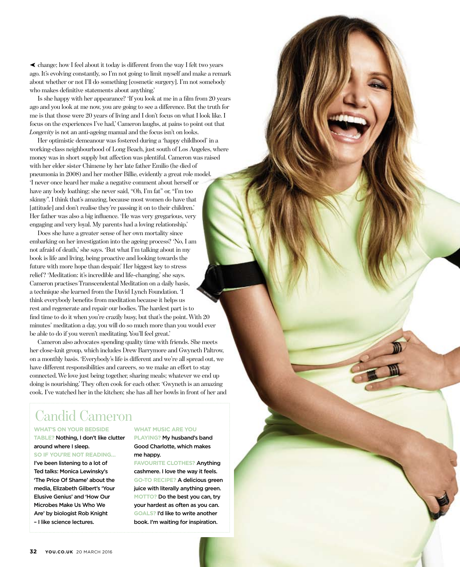change; how I feel about it today is different from the way I felt two years ➤ ago. It's evolving constantly, so I'm not going to limit myself and make a remark about whether or not I'll do something [cosmetic surgery]. I'm not somebody who makes definitive statements about anything.'

Is she happy with her appearance? 'If you look at me in a film from 20 years ago and you look at me now, you are going to see a difference. But the truth for me is that those were 20 years of living and I don't focus on what I look like. I focus on the experiences I've had,' Cameron laughs, at pains to point out that *Longevity* is not an anti-ageing manual and the focus isn't on looks.

Her optimistic demeanour was fostered during a 'happy childhood' in a working-class neighbourhood of Long Beach, just south of Los Angeles, where money was in short supply but affection was plentiful. Cameron was raised with her elder sister Chimene by her late father Emilio (he died of pneumonia in 2008) and her mother Billie, evidently a great role model. 'I never once heard her make a negative comment about herself or have any body loathing; she never said, "Oh, I'm fat" or, "I'm too skinny". I think that's amazing, because most women do have that [attitude] and don't realise they're passing it on to their children.' Her father was also a big influence. 'He was very gregarious, very engaging and very loyal. My parents had a loving relationship.'

Does she have a greater sense of her own mortality since embarking on her investigation into the ageing process? 'No, I am not afraid of death,' she says. 'But what I'm talking about in my book is life and living, being proactive and looking towards the future with more hope than despair.' Her biggest key to stress relief? 'Meditation: it's incredible and life-changing,' she says. Cameron practises Transcendental Meditation on a daily basis, a technique she learned from the David Lynch Foundation. 'I think everybody benefits from meditation because it helps us rest and regenerate and repair our bodies. The hardest part is to find time to do it when you're crazily busy, but that's the point. With 20 minutes' meditation a day, you will do so much more than you would ever be able to do if you weren't meditating. You'll feel great.'

Cameron also advocates spending quality time with friends. She meets her close-knit group, which includes Drew Barrymore and Gwyneth Paltrow, on a monthly basis. 'Everybody's life is different and we're all spread out, we have different responsibilities and careers, so we make an effort to stay connected. We love just being together, sharing meals; whatever we end up doing is nourishing.' They often cook for each other. 'Gwyneth is an amazing cook. I've watched her in the kitchen; she has all her bowls in front of her and

# Candid Cameron

#### **What's on your bedside**

#### **table?** Nothing, I don't like clutter around where I sleep.

**So if you're not reading…** I've been listening to a lot of Ted talks: Monica Lewinsky's 'The Price Of Shame' about the media, Elizabeth Gilbert's 'Your Elusive Genius' and 'How Our Microbes Make Us Who We Are' by biologist Rob Knight – I like science lectures.

#### **What music are you**

**playing?** My husband's band Good Charlotte, which makes me happy.

**Favourite clothes?** Anything cashmere. I love the way it feels. **Go-to recipe?** A delicious green juice with literally anything green. **MOTTO?** Do the best you can, try your hardest as often as you can. **Goals?** I'd like to write another book. I'm waiting for inspiration.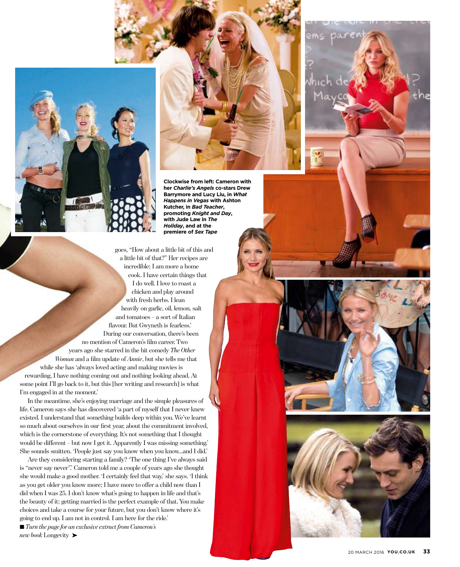

**Clockwise from left: Cameron with her** *Charlie's Angels* **co-stars Drew Barrymore and Lucy Liu, in** *What Happens in Vegas* **with Ashton Kutcher, in** *Bad Teacher***, promoting** *Knight and Day***, with Jude Law in** *The Holiday***, and at the premiere of** *Sex Tape*

goes, "How about a little bit of this and a little bit of that?" Her recipes are incredible; I am more a home cook. I have certain things that I do well. I love to roast a chicken and play around with fresh herbs. I lean heavily on garlic, oil, lemon, salt and tomatoes – a sort of Italian flavour. But Gwyneth is fearless.' During our conversation, there's been no mention of Cameron's film career. Two years ago she starred in the hit comedy *The Other Woman* and a film update of *Annie*, but she tells me that while she has 'always loved acting and making movies is rewarding, I have nothing coming out and nothing looking ahead. At some point I'll go back to it, but this [her writing and research] is what I'm engaged in at the moment.'

In the meantime, she's enjoying marriage and the simple pleasures of life. Cameron says she has discovered 'a part of myself that I never knew existed. I understand that something builds deep within you. We've learnt so much about ourselves in our first year, about the commitment involved, which is the cornerstone of everything. It's not something that I thought would be different – but now I get it. Apparently I was missing something.' She sounds smitten. 'People just say you know when you know…and I did.'

Are they considering starting a family? 'The one thing I've always said is "never say never".' Cameron told me a couple of years ago she thought she would make a good mother. 'I certainly feel that way,' she says. 'I think as you get older you know more; I have more to offer a child now than I did when I was 25. I don't know what's going to happen in life and that's the beauty of it; getting married is the perfect example of that. You make choices and take a course for your future, but you don't know where it's going to end up. I am not in control. I am here for the ride.'

■ *Turn the page for an exclusive extract from Cameron's* new book Longevity ►

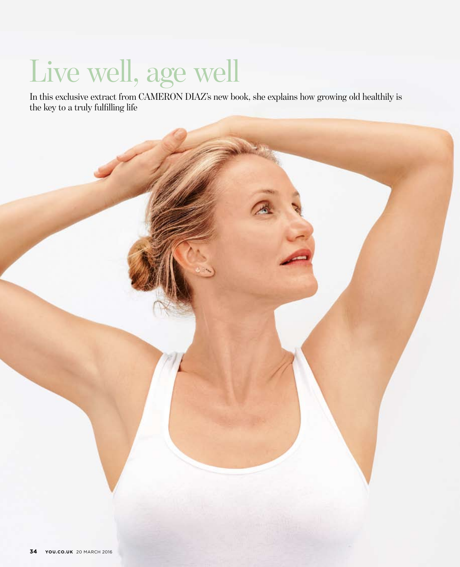# Live well, age well

In this exclusive extract from CAMERON DIAZ's new book, she explains how growing old healthily is the key to a truly fulfilling life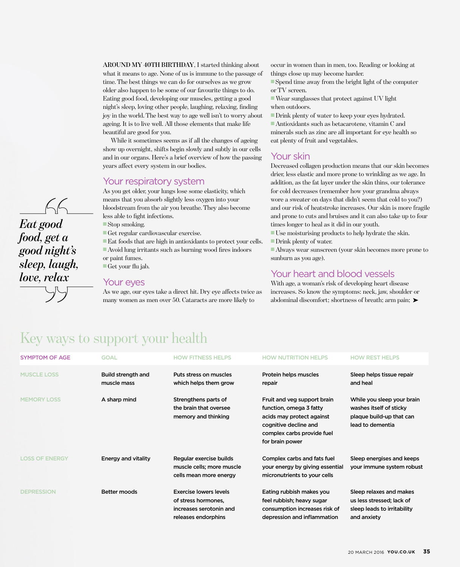AROUND MY 40TH BIRTHDAY, I started thinking about what it means to age. None of us is immune to the passage of time. The best things we can do for ourselves as we grow older also happen to be some of our favourite things to do. Eating good food, developing our muscles, getting a good night's sleep, loving other people, laughing, relaxing, finding joy in the world. The best way to age well isn't to worry about ageing. It is to live well. All those elements that make life beautiful are good for you.

While it sometimes seems as if all the changes of ageing show up overnight, shifts begin slowly and subtly in our cells and in our organs. Here's a brief overview of how the passing years affect every system in our bodies.

#### Your respiratory system

As you get older, your lungs lose some elasticity, which means that you absorb slightly less oxygen into your bloodstream from the air you breathe. They also become less able to fight infections.

 $\blacksquare$  Stop smoking.

n Get regular cardiovascular exercise.

■ Eat foods that are high in antioxidants to protect your cells.  $\blacksquare$  Avoid lung irritants such as burning wood fires indoors or paint fumes.

 $\blacksquare$  Get your flu jab.

#### Your eves

As we age, our eyes take a direct hit. Dry eye affects twice as many women as men over 50. Cataracts are more likely to

occur in women than in men, too. Reading or looking at things close up may become harder.

 $\blacksquare$  Spend time away from the bright light of the computer or TV screen.

 $\blacksquare$  Wear sunglasses that protect against UV light when outdoors.

 $\blacksquare$  Drink plenty of water to keep your eyes hydrated.  $\blacksquare$  Antioxidants such as betacarotene, vitamin C and minerals such as zinc are all important for eye health so eat plenty of fruit and vegetables.

## Your skin

Decreased collagen production means that our skin becomes drier, less elastic and more prone to wrinkling as we age. In addition, as the fat layer under the skin thins, our tolerance for cold decreases (remember how your grandma always wore a sweater on days that didn't seem that cold to you?) and our risk of heatstroke increases. Our skin is more fragile and prone to cuts and bruises and it can also take up to four times longer to heal as it did in our youth.

 $\blacksquare$  Use moisturising products to help hydrate the skin.

 $\blacksquare$  Drink plenty of water.

n Always wear sunscreen (your skin becomes more prone to sunburn as you age).

#### Your heart and blood vessels

With age, a woman's risk of developing heart disease increases. So know the symptoms: neck, jaw, shoulder or abdominal discomfort; shortness of breath; arm pain; ▶

# Key ways to support your health

| <b>SYMPTOM OF AGE</b> | <b>GOAL</b>                       | <b>HOW FITNESS HELPS</b>                                                                        | <b>HOW NUTRITION HELPS</b>                                                                                                                                    | <b>HOW REST HELPS</b>                                                                                 |
|-----------------------|-----------------------------------|-------------------------------------------------------------------------------------------------|---------------------------------------------------------------------------------------------------------------------------------------------------------------|-------------------------------------------------------------------------------------------------------|
| <b>MUSCLE LOSS</b>    | Build strength and<br>muscle mass | Puts stress on muscles<br>which helps them grow                                                 | Protein helps muscles<br>repair                                                                                                                               | Sleep helps tissue repair<br>and heal                                                                 |
| <b>MEMORY LOSS</b>    | A sharp mind                      | Strengthens parts of<br>the brain that oversee<br>memory and thinking                           | Fruit and veg support brain<br>function, omega 3 fatty<br>acids may protect against<br>cognitive decline and<br>complex carbs provide fuel<br>for brain power | While you sleep your brain<br>washes itself of sticky<br>plaque build-up that can<br>lead to dementia |
| <b>LOSS OF ENERGY</b> | Energy and vitality               | Regular exercise builds<br>muscle cells; more muscle<br>cells mean more energy                  | Complex carbs and fats fuel<br>your energy by giving essential<br>micronutrients to your cells                                                                | Sleep energises and keeps<br>your immune system robust                                                |
| <b>DEPRESSION</b>     | <b>Better moods</b>               | Exercise lowers levels<br>of stress hormones.<br>increases serotonin and<br>releases endorphins | Eating rubbish makes you<br>feel rubbish; heavy sugar<br>consumption increases risk of<br>depression and inflammation                                         | Sleep relaxes and makes<br>us less stressed; lack of<br>sleep leads to irritability<br>and anxiety    |

*Eat good food, get a good night's sleep, laugh, love, relax*

 $66$